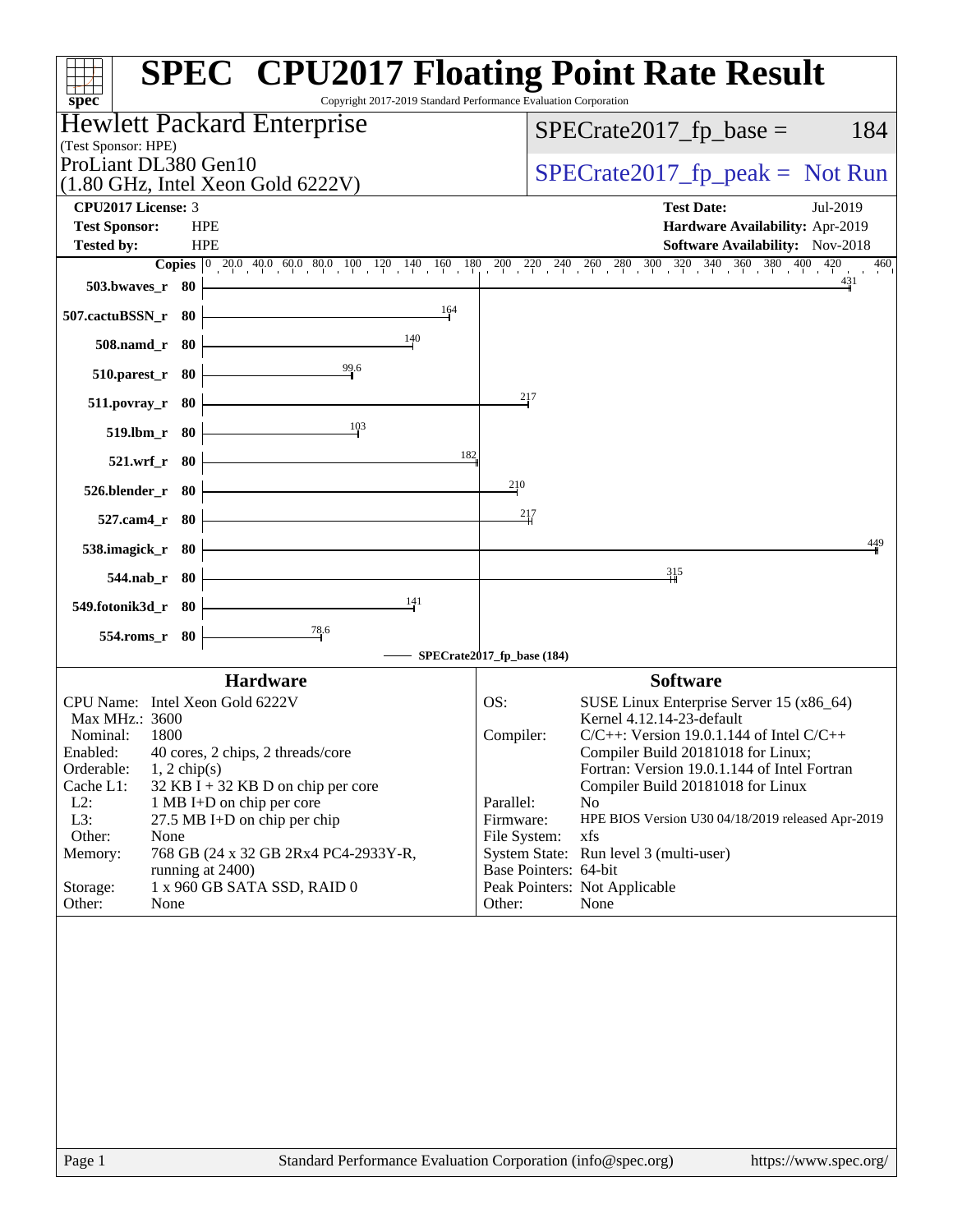| Copyright 2017-2019 Standard Performance Evaluation Corporation<br>$spec^*$               | <b>SPEC<sup>®</sup></b> CPU2017 Floating Point Rate Result                              |
|-------------------------------------------------------------------------------------------|-----------------------------------------------------------------------------------------|
| Hewlett Packard Enterprise                                                                | $SPECrate2017_fp\_base =$<br>184                                                        |
| (Test Sponsor: HPE)<br>ProLiant DL380 Gen10                                               |                                                                                         |
| $(1.80 \text{ GHz}, \text{Intel Xeon Gold } 6222 \text{V})$                               | $SPECTate2017_fp\_peak = Not Run$                                                       |
| CPU2017 License: 3                                                                        | <b>Test Date:</b><br>Jul-2019                                                           |
| <b>Test Sponsor:</b><br><b>HPE</b>                                                        | Hardware Availability: Apr-2019                                                         |
| <b>HPE</b><br><b>Tested by:</b>                                                           | <b>Software Availability:</b> Nov-2018<br>460                                           |
| 503.bwaves_r 80                                                                           | 431                                                                                     |
| 164<br>507.cactuBSSN_r 80                                                                 |                                                                                         |
| 140<br>508.namd_r 80                                                                      |                                                                                         |
| 99.6<br>510.parest_r 80                                                                   |                                                                                         |
| 511.povray_r 80                                                                           | 217                                                                                     |
| 103<br>519.lbm_r 80                                                                       |                                                                                         |
| 182<br>521.wrf_r 80                                                                       |                                                                                         |
| 526.blender_r 80                                                                          | 210                                                                                     |
| 527.cam4_r 80                                                                             | 217                                                                                     |
| 538.imagick_r 80                                                                          | 449                                                                                     |
| $544$ .nab_r 80                                                                           | 315                                                                                     |
| 141<br>549.fotonik3d_r 80                                                                 |                                                                                         |
| $\frac{78.6}{5}$<br>554.roms_r 80                                                         | SPECrate2017_fp_base (184)                                                              |
| <b>Hardware</b>                                                                           | <b>Software</b>                                                                         |
| CPU Name: Intel Xeon Gold 6222V                                                           | OS:<br>SUSE Linux Enterprise Server 15 (x86_64)                                         |
| Max MHz.: 3600<br>Nominal:<br>1800                                                        | Kernel 4.12.14-23-default<br>Compiler:<br>$C/C++$ : Version 19.0.1.144 of Intel $C/C++$ |
| Enabled:<br>40 cores, 2 chips, 2 threads/core                                             | Compiler Build 20181018 for Linux;                                                      |
| Orderable:<br>$1, 2$ chip(s)<br>Cache L1:<br>$32$ KB I + 32 KB D on chip per core         | Fortran: Version 19.0.1.144 of Intel Fortran<br>Compiler Build 20181018 for Linux       |
| $L2$ :<br>1 MB I+D on chip per core                                                       | Parallel:<br>No.                                                                        |
| L3:<br>27.5 MB I+D on chip per chip                                                       | HPE BIOS Version U30 04/18/2019 released Apr-2019<br>Firmware:                          |
| Other:<br>None<br>768 GB (24 x 32 GB 2Rx4 PC4-2933Y-R,<br>Memory:                         | File System:<br>xfs<br>System State: Run level 3 (multi-user)                           |
| running at 2400)                                                                          | Base Pointers: 64-bit                                                                   |
| 1 x 960 GB SATA SSD, RAID 0<br>Storage:                                                   | Peak Pointers: Not Applicable                                                           |
| Other:<br>None                                                                            | Other:<br>None                                                                          |
|                                                                                           |                                                                                         |
|                                                                                           |                                                                                         |
|                                                                                           |                                                                                         |
|                                                                                           |                                                                                         |
|                                                                                           |                                                                                         |
|                                                                                           |                                                                                         |
|                                                                                           |                                                                                         |
|                                                                                           |                                                                                         |
| $\Gamma$ <sub>0.00</sub> 1<br>Standard Darformange Evaluation Comparation (info@gnos.com) | $l$ <sub>h</sub> $t$ <sub>ma</sub> $l$ / $t$ <sub>r</sub> $t$                           |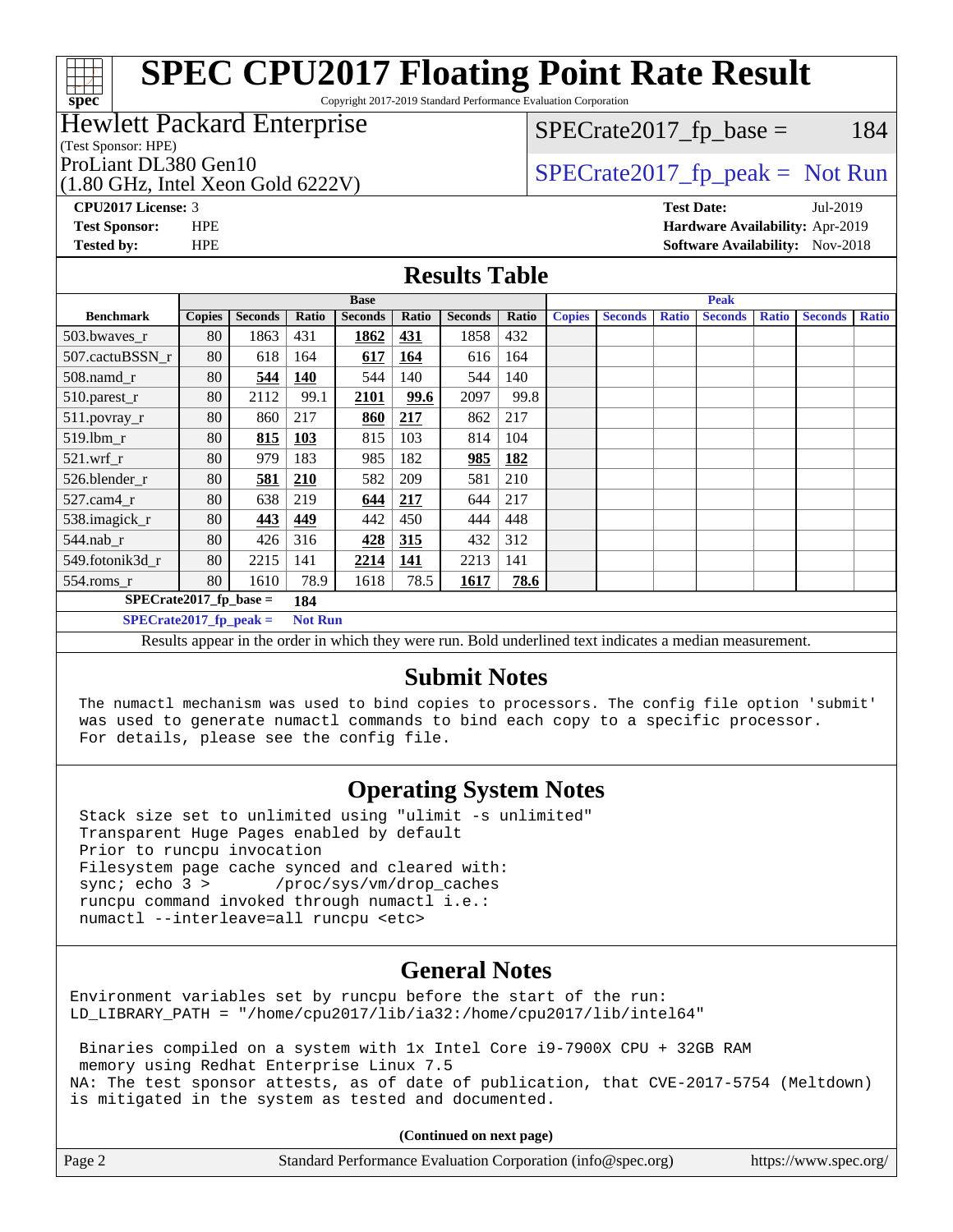Copyright 2017-2019 Standard Performance Evaluation Corporation

#### Hewlett Packard Enterprise

(Test Sponsor: HPE)

**[spec](http://www.spec.org/)**

(1.80 GHz, Intel Xeon Gold 6222V)

 $SPECTate2017<sub>fr</sub> base = 184$ 

ProLiant DL380 Gen10  $SPECTA 522232$   $SPECTA 6202322$   $SPECTA 6202322$ 

**[CPU2017 License:](http://www.spec.org/auto/cpu2017/Docs/result-fields.html#CPU2017License)** 3 **[Test Date:](http://www.spec.org/auto/cpu2017/Docs/result-fields.html#TestDate)** Jul-2019 **[Test Sponsor:](http://www.spec.org/auto/cpu2017/Docs/result-fields.html#TestSponsor)** HPE **[Hardware Availability:](http://www.spec.org/auto/cpu2017/Docs/result-fields.html#HardwareAvailability)** Apr-2019 **[Tested by:](http://www.spec.org/auto/cpu2017/Docs/result-fields.html#Testedby)** HPE **[Software Availability:](http://www.spec.org/auto/cpu2017/Docs/result-fields.html#SoftwareAvailability)** Nov-2018

#### **[Results Table](http://www.spec.org/auto/cpu2017/Docs/result-fields.html#ResultsTable)**

| <b>Base</b>                     |                                            |                |       | <b>Peak</b>    |            |                |       |               |                |              |                |              |                |              |
|---------------------------------|--------------------------------------------|----------------|-------|----------------|------------|----------------|-------|---------------|----------------|--------------|----------------|--------------|----------------|--------------|
| <b>Benchmark</b>                | <b>Copies</b>                              | <b>Seconds</b> | Ratio | <b>Seconds</b> | Ratio      | <b>Seconds</b> | Ratio | <b>Copies</b> | <b>Seconds</b> | <b>Ratio</b> | <b>Seconds</b> | <b>Ratio</b> | <b>Seconds</b> | <b>Ratio</b> |
| 503.bwayes_r                    | 80                                         | 1863           | 431   | 1862           | 431        | 1858           | 432   |               |                |              |                |              |                |              |
| 507.cactuBSSN r                 | 80                                         | 618            | 164   | 617            | <u>164</u> | 616            | 164   |               |                |              |                |              |                |              |
| $508$ .namd $r$                 | 80                                         | 544            | 140   | 544            | 140        | 544            | 140   |               |                |              |                |              |                |              |
| 510.parest_r                    | 80                                         | 2112           | 99.1  | 2101           | 99.6       | 2097           | 99.8  |               |                |              |                |              |                |              |
| 511.povray_r                    | 80                                         | 860            | 217   | 860            | 217        | 862            | 217   |               |                |              |                |              |                |              |
| $519$ .lbm $r$                  | 80                                         | 815            | 103   | 815            | 103        | 814            | 104   |               |                |              |                |              |                |              |
| $521$ .wrf r                    | 80                                         | 979            | 183   | 985            | 182        | 985            | 182   |               |                |              |                |              |                |              |
| 526.blender r                   | 80                                         | 581            | 210   | 582            | 209        | 581            | 210   |               |                |              |                |              |                |              |
| $527$ .cam $4r$                 | 80                                         | 638            | 219   | 644            | 217        | 644            | 217   |               |                |              |                |              |                |              |
| 538.imagick_r                   | 80                                         | 443            | 449   | 442            | 450        | 444            | 448   |               |                |              |                |              |                |              |
| $544$ .nab_r                    | 80                                         | 426            | 316   | 428            | 315        | 432            | 312   |               |                |              |                |              |                |              |
| 549.fotonik3d r                 | 80                                         | 2215           | 141   | 2214           | 141        | 2213           | 141   |               |                |              |                |              |                |              |
| $554$ .roms $_r$                | 80                                         | 1610           | 78.9  | 1618           | 78.5       | 1617           | 78.6  |               |                |              |                |              |                |              |
| $SPECrate2017$ fp base =<br>184 |                                            |                |       |                |            |                |       |               |                |              |                |              |                |              |
|                                 | <b>Not Run</b><br>$SPECrate2017$ fp peak = |                |       |                |            |                |       |               |                |              |                |              |                |              |

Results appear in the [order in which they were run.](http://www.spec.org/auto/cpu2017/Docs/result-fields.html#RunOrder) Bold underlined text [indicates a median measurement.](http://www.spec.org/auto/cpu2017/Docs/result-fields.html#Median)

### **[Submit Notes](http://www.spec.org/auto/cpu2017/Docs/result-fields.html#SubmitNotes)**

 The numactl mechanism was used to bind copies to processors. The config file option 'submit' was used to generate numactl commands to bind each copy to a specific processor. For details, please see the config file.

### **[Operating System Notes](http://www.spec.org/auto/cpu2017/Docs/result-fields.html#OperatingSystemNotes)**

 Stack size set to unlimited using "ulimit -s unlimited" Transparent Huge Pages enabled by default Prior to runcpu invocation Filesystem page cache synced and cleared with: sync; echo 3 > /proc/sys/vm/drop\_caches runcpu command invoked through numactl i.e.: numactl --interleave=all runcpu <etc>

### **[General Notes](http://www.spec.org/auto/cpu2017/Docs/result-fields.html#GeneralNotes)**

Environment variables set by runcpu before the start of the run: LD\_LIBRARY\_PATH = "/home/cpu2017/lib/ia32:/home/cpu2017/lib/intel64"

 Binaries compiled on a system with 1x Intel Core i9-7900X CPU + 32GB RAM memory using Redhat Enterprise Linux 7.5 NA: The test sponsor attests, as of date of publication, that CVE-2017-5754 (Meltdown) is mitigated in the system as tested and documented.

**(Continued on next page)**

| Page 2 | Standard Performance Evaluation Corporation (info@spec.org) | https://www.spec.org/ |
|--------|-------------------------------------------------------------|-----------------------|
|--------|-------------------------------------------------------------|-----------------------|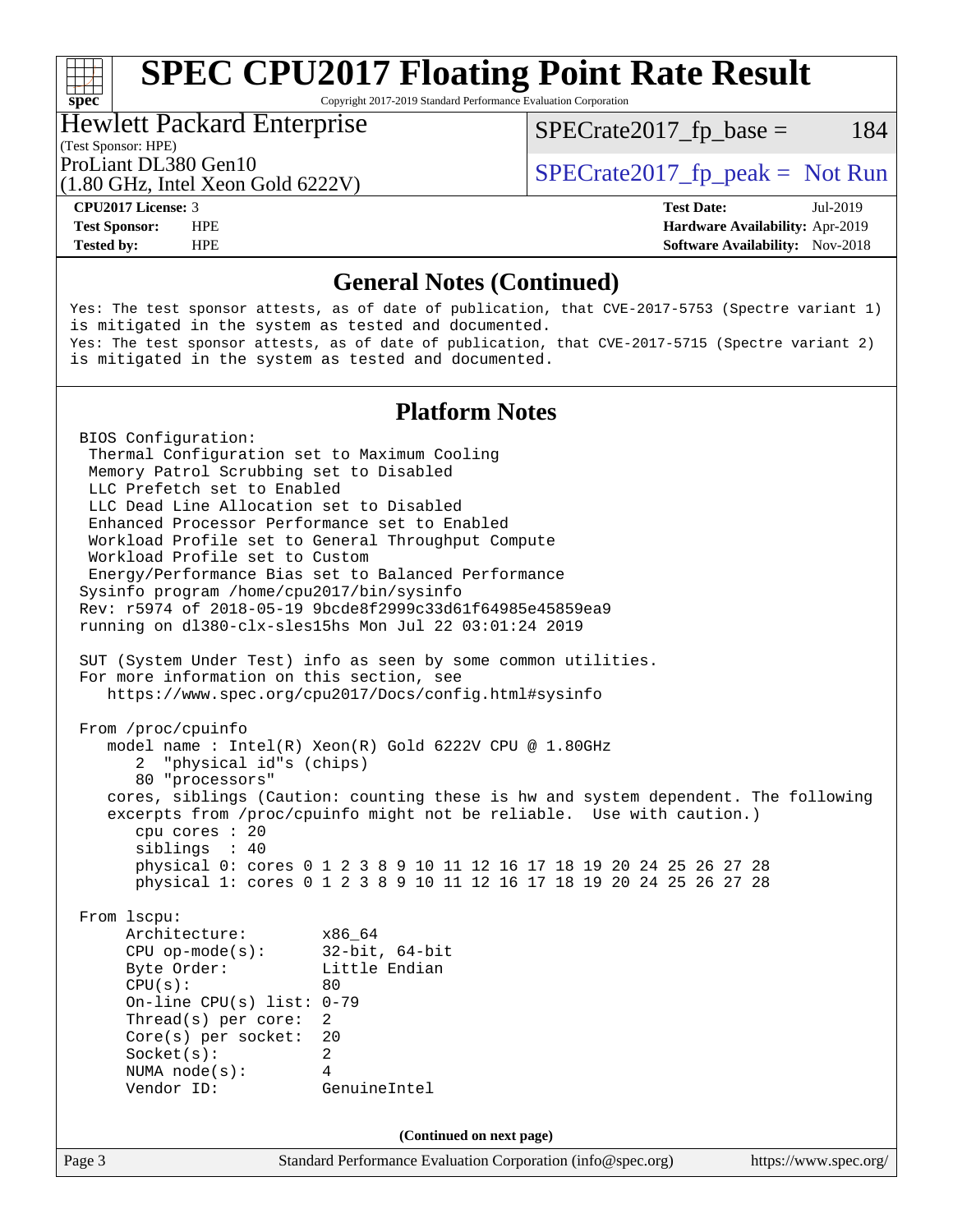Copyright 2017-2019 Standard Performance Evaluation Corporation

#### Hewlett Packard Enterprise

 $SPECTate2017<sub>fr</sub> base = 184$ 

#### (Test Sponsor: HPE)

(1.80 GHz, Intel Xeon Gold 6222V)

ProLiant DL380 Gen10  $SPECTA 522231$   $SPECTA 620231$   $SPECTA 620231$ 

**[spec](http://www.spec.org/)**<sup>®</sup>

**[Tested by:](http://www.spec.org/auto/cpu2017/Docs/result-fields.html#Testedby)** HPE **[Software Availability:](http://www.spec.org/auto/cpu2017/Docs/result-fields.html#SoftwareAvailability)** Nov-2018

**[CPU2017 License:](http://www.spec.org/auto/cpu2017/Docs/result-fields.html#CPU2017License)** 3 **[Test Date:](http://www.spec.org/auto/cpu2017/Docs/result-fields.html#TestDate)** Jul-2019 **[Test Sponsor:](http://www.spec.org/auto/cpu2017/Docs/result-fields.html#TestSponsor)** HPE **[Hardware Availability:](http://www.spec.org/auto/cpu2017/Docs/result-fields.html#HardwareAvailability)** Apr-2019

#### **[General Notes \(Continued\)](http://www.spec.org/auto/cpu2017/Docs/result-fields.html#GeneralNotes)**

Yes: The test sponsor attests, as of date of publication, that CVE-2017-5753 (Spectre variant 1) is mitigated in the system as tested and documented. Yes: The test sponsor attests, as of date of publication, that CVE-2017-5715 (Spectre variant 2) is mitigated in the system as tested and documented.

### **[Platform Notes](http://www.spec.org/auto/cpu2017/Docs/result-fields.html#PlatformNotes)**

Page 3 Standard Performance Evaluation Corporation [\(info@spec.org\)](mailto:info@spec.org) <https://www.spec.org/> BIOS Configuration: Thermal Configuration set to Maximum Cooling Memory Patrol Scrubbing set to Disabled LLC Prefetch set to Enabled LLC Dead Line Allocation set to Disabled Enhanced Processor Performance set to Enabled Workload Profile set to General Throughput Compute Workload Profile set to Custom Energy/Performance Bias set to Balanced Performance Sysinfo program /home/cpu2017/bin/sysinfo Rev: r5974 of 2018-05-19 9bcde8f2999c33d61f64985e45859ea9 running on dl380-clx-sles15hs Mon Jul 22 03:01:24 2019 SUT (System Under Test) info as seen by some common utilities. For more information on this section, see <https://www.spec.org/cpu2017/Docs/config.html#sysinfo> From /proc/cpuinfo model name : Intel(R) Xeon(R) Gold 6222V CPU @ 1.80GHz 2 "physical id"s (chips) 80 "processors" cores, siblings (Caution: counting these is hw and system dependent. The following excerpts from /proc/cpuinfo might not be reliable. Use with caution.) cpu cores : 20 siblings : 40 physical 0: cores 0 1 2 3 8 9 10 11 12 16 17 18 19 20 24 25 26 27 28 physical 1: cores 0 1 2 3 8 9 10 11 12 16 17 18 19 20 24 25 26 27 28 From lscpu: Architecture: x86\_64 CPU op-mode(s): 32-bit, 64-bit Byte Order: Little Endian  $CPU(s):$  80 On-line CPU(s) list: 0-79 Thread(s) per core: 2 Core(s) per socket: 20 Socket(s): 2 NUMA node(s): 4 Vendor ID: GenuineIntel **(Continued on next page)**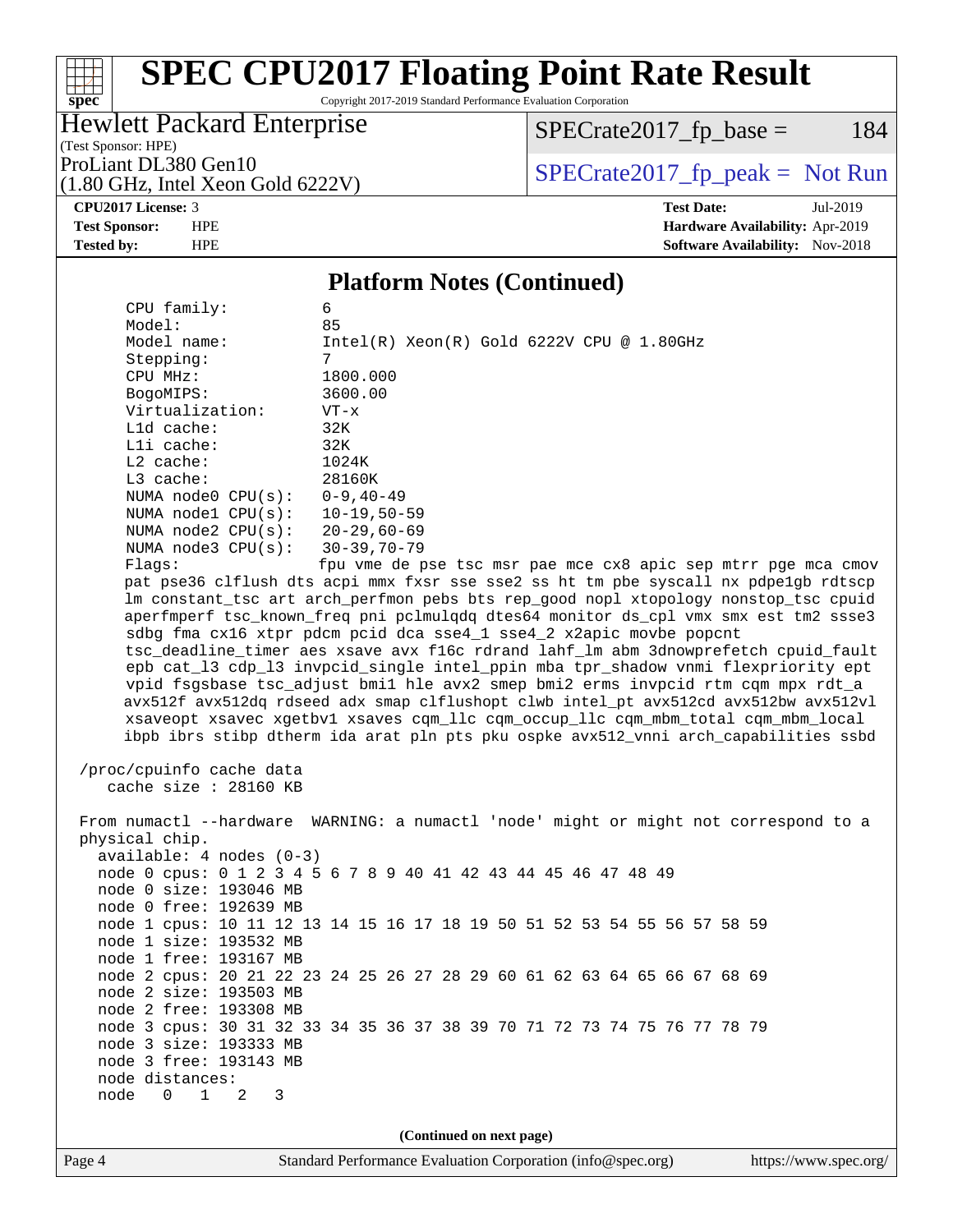# **[spec](http://www.spec.org/)**

# **[SPEC CPU2017 Floating Point Rate Result](http://www.spec.org/auto/cpu2017/Docs/result-fields.html#SPECCPU2017FloatingPointRateResult)**

Copyright 2017-2019 Standard Performance Evaluation Corporation

### Hewlett Packard Enterprise

 $SPECrate2017_fp\_base = 184$ 

(Test Sponsor: HPE)

ProLiant DL380 Gen10<br>(1.80 GHz, Intel Xeon Gold 6222V) [SPECrate2017\\_fp\\_peak =](http://www.spec.org/auto/cpu2017/Docs/result-fields.html#SPECrate2017fppeak) Not Run

# (1.80 GHz, Intel Xeon Gold 6222V)

**[CPU2017 License:](http://www.spec.org/auto/cpu2017/Docs/result-fields.html#CPU2017License)** 3 **[Test Date:](http://www.spec.org/auto/cpu2017/Docs/result-fields.html#TestDate)** Jul-2019 **[Test Sponsor:](http://www.spec.org/auto/cpu2017/Docs/result-fields.html#TestSponsor)** HPE **[Hardware Availability:](http://www.spec.org/auto/cpu2017/Docs/result-fields.html#HardwareAvailability)** Apr-2019 **[Tested by:](http://www.spec.org/auto/cpu2017/Docs/result-fields.html#Testedby)** HPE **HPE [Software Availability:](http://www.spec.org/auto/cpu2017/Docs/result-fields.html#SoftwareAvailability)** Nov-2018

#### **[Platform Notes \(Continued\)](http://www.spec.org/auto/cpu2017/Docs/result-fields.html#PlatformNotes)**

| CPU family:                                       | 6                                                                                    |  |  |  |  |  |
|---------------------------------------------------|--------------------------------------------------------------------------------------|--|--|--|--|--|
| Model:                                            | 85                                                                                   |  |  |  |  |  |
| Model name:                                       | $Intel(R) Xeon(R) Gold 6222V CPU @ 1.80GHz$                                          |  |  |  |  |  |
| Stepping:                                         | 7                                                                                    |  |  |  |  |  |
| CPU MHz:                                          | 1800.000                                                                             |  |  |  |  |  |
| BogoMIPS:                                         | 3600.00                                                                              |  |  |  |  |  |
| Virtualization:                                   | $VT - x$                                                                             |  |  |  |  |  |
| L1d cache:<br>Lli cache:                          | 32K<br>32K                                                                           |  |  |  |  |  |
| $L2$ cache:                                       | 1024K                                                                                |  |  |  |  |  |
| L3 cache:                                         | 28160K                                                                               |  |  |  |  |  |
| NUMA node0 $CPU(s): 0-9, 40-49$                   |                                                                                      |  |  |  |  |  |
| NUMA node1 CPU(s): 10-19,50-59                    |                                                                                      |  |  |  |  |  |
| NUMA node2 CPU(s): 20-29,60-69                    |                                                                                      |  |  |  |  |  |
| NUMA $node3$ $CPU(s):$                            | 30-39,70-79                                                                          |  |  |  |  |  |
| Flaqs:                                            | fpu vme de pse tsc msr pae mce cx8 apic sep mtrr pge mca cmov                        |  |  |  |  |  |
|                                                   | pat pse36 clflush dts acpi mmx fxsr sse sse2 ss ht tm pbe syscall nx pdpelgb rdtscp  |  |  |  |  |  |
|                                                   | lm constant_tsc art arch_perfmon pebs bts rep_good nopl xtopology nonstop_tsc cpuid  |  |  |  |  |  |
|                                                   | aperfmperf tsc_known_freq pni pclmulqdq dtes64 monitor ds_cpl vmx smx est tm2 ssse3  |  |  |  |  |  |
|                                                   | sdbg fma cx16 xtpr pdcm pcid dca sse4_1 sse4_2 x2apic movbe popcnt                   |  |  |  |  |  |
|                                                   | tsc_deadline_timer aes xsave avx f16c rdrand lahf_lm abm 3dnowprefetch cpuid_fault   |  |  |  |  |  |
|                                                   | epb cat_13 cdp_13 invpcid_single intel_ppin mba tpr_shadow vnmi flexpriority ept     |  |  |  |  |  |
|                                                   | vpid fsgsbase tsc_adjust bmil hle avx2 smep bmi2 erms invpcid rtm cqm mpx rdt_a      |  |  |  |  |  |
|                                                   | avx512f avx512dq rdseed adx smap clflushopt clwb intel_pt avx512cd avx512bw avx512vl |  |  |  |  |  |
|                                                   | xsaveopt xsavec xgetbvl xsaves cqm_llc cqm_occup_llc cqm_mbm_total cqm_mbm_local     |  |  |  |  |  |
|                                                   | ibpb ibrs stibp dtherm ida arat pln pts pku ospke avx512_vnni arch_capabilities ssbd |  |  |  |  |  |
|                                                   |                                                                                      |  |  |  |  |  |
| /proc/cpuinfo cache data<br>cache size : 28160 KB |                                                                                      |  |  |  |  |  |
|                                                   |                                                                                      |  |  |  |  |  |
|                                                   | From numactl --hardware WARNING: a numactl 'node' might or might not correspond to a |  |  |  |  |  |
| physical chip.                                    |                                                                                      |  |  |  |  |  |
| $available: 4 nodes (0-3)$                        |                                                                                      |  |  |  |  |  |
|                                                   | node 0 cpus: 0 1 2 3 4 5 6 7 8 9 40 41 42 43 44 45 46 47 48 49                       |  |  |  |  |  |
| node 0 size: 193046 MB                            |                                                                                      |  |  |  |  |  |
| node 0 free: 192639 MB                            |                                                                                      |  |  |  |  |  |
|                                                   | node 1 cpus: 10 11 12 13 14 15 16 17 18 19 50 51 52 53 54 55 56 57 58 59             |  |  |  |  |  |
| node 1 size: 193532 MB                            |                                                                                      |  |  |  |  |  |
| node 1 free: 193167 MB                            |                                                                                      |  |  |  |  |  |
|                                                   | node 2 cpus: 20 21 22 23 24 25 26 27 28 29 60 61 62 63 64 65 66 67 68 69             |  |  |  |  |  |
| node 2 size: 193503 MB                            |                                                                                      |  |  |  |  |  |
| node 2 free: 193308 MB                            |                                                                                      |  |  |  |  |  |
|                                                   | node 3 cpus: 30 31 32 33 34 35 36 37 38 39 70 71 72 73 74 75 76 77 78 79             |  |  |  |  |  |
| node 3 size: 193333 MB                            |                                                                                      |  |  |  |  |  |
| node 3 free: 193143 MB                            |                                                                                      |  |  |  |  |  |
| node distances:                                   |                                                                                      |  |  |  |  |  |
| node 0 1 2<br>3                                   |                                                                                      |  |  |  |  |  |
|                                                   |                                                                                      |  |  |  |  |  |
| (Continued on next page)                          |                                                                                      |  |  |  |  |  |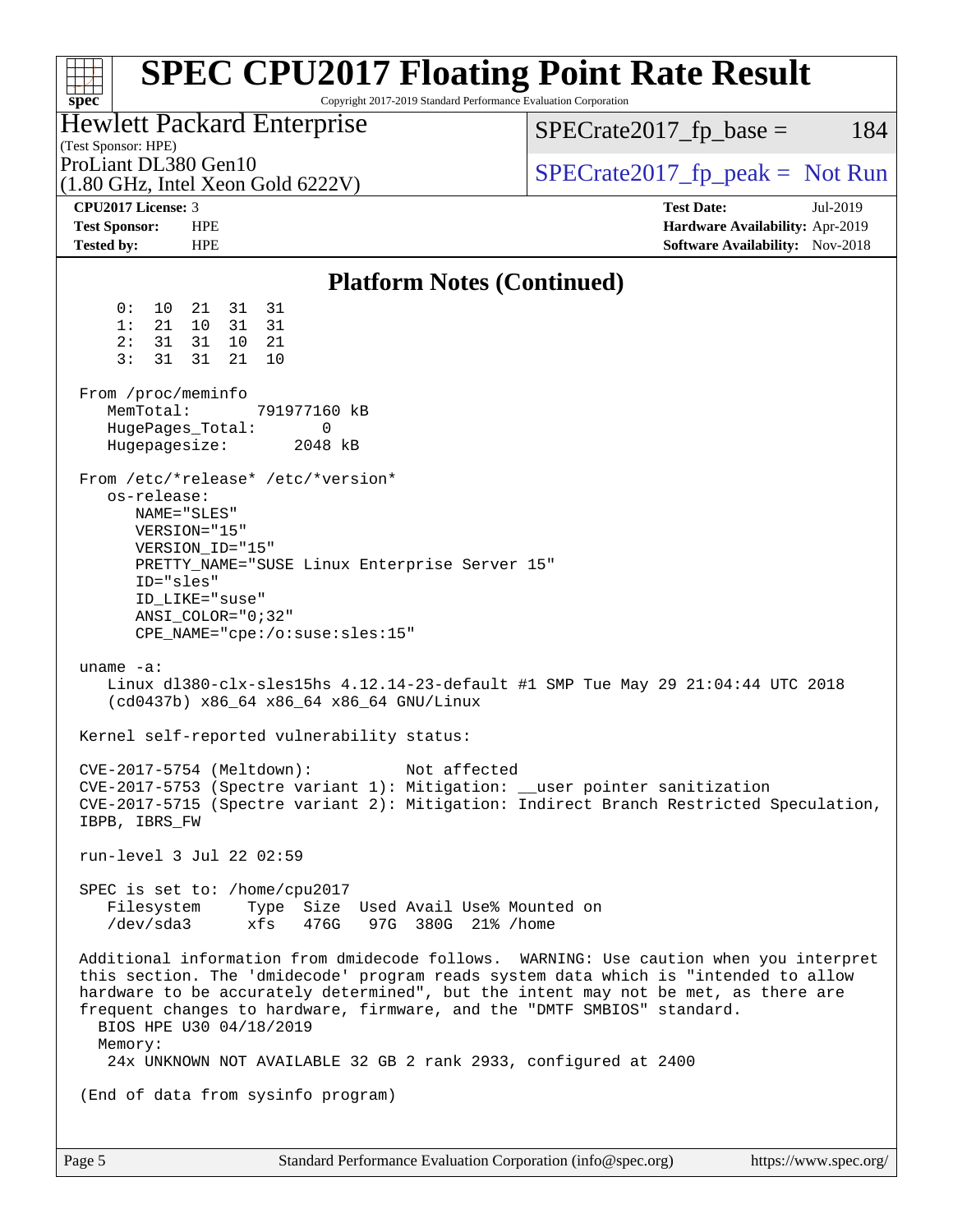| <b>SPEC CPU2017 Floating Point Rate Result</b><br>Copyright 2017-2019 Standard Performance Evaluation Corporation<br>$spec^*$                                                                                                                                                                                                                                                                                                                                                                                                                                                                                                                                                                                                                                                                                                                                                                                                                               |                                                                                                     |  |  |  |  |
|-------------------------------------------------------------------------------------------------------------------------------------------------------------------------------------------------------------------------------------------------------------------------------------------------------------------------------------------------------------------------------------------------------------------------------------------------------------------------------------------------------------------------------------------------------------------------------------------------------------------------------------------------------------------------------------------------------------------------------------------------------------------------------------------------------------------------------------------------------------------------------------------------------------------------------------------------------------|-----------------------------------------------------------------------------------------------------|--|--|--|--|
| <b>Hewlett Packard Enterprise</b><br>(Test Sponsor: HPE)                                                                                                                                                                                                                                                                                                                                                                                                                                                                                                                                                                                                                                                                                                                                                                                                                                                                                                    | $SPECrate2017_fp\_base =$<br>184                                                                    |  |  |  |  |
| ProLiant DL380 Gen10<br>$(1.80 \text{ GHz}, \text{Intel Xeon Gold } 6222 \text{V})$                                                                                                                                                                                                                                                                                                                                                                                                                                                                                                                                                                                                                                                                                                                                                                                                                                                                         | $SPECrate2017fr peak = Not Run$                                                                     |  |  |  |  |
| CPU2017 License: 3<br><b>Test Sponsor:</b><br><b>HPE</b><br><b>Tested by:</b><br><b>HPE</b>                                                                                                                                                                                                                                                                                                                                                                                                                                                                                                                                                                                                                                                                                                                                                                                                                                                                 | <b>Test Date:</b><br>Jul-2019<br>Hardware Availability: Apr-2019<br>Software Availability: Nov-2018 |  |  |  |  |
| <b>Platform Notes (Continued)</b>                                                                                                                                                                                                                                                                                                                                                                                                                                                                                                                                                                                                                                                                                                                                                                                                                                                                                                                           |                                                                                                     |  |  |  |  |
| 31<br>0 :<br>$10 \,$<br>21<br>31<br>31<br>1:<br>21<br>10<br>31<br>2:<br>31<br>31<br>- 21<br>10<br>3:<br>31<br>21<br>31<br>10<br>From /proc/meminfo<br>MemTotal:<br>791977160 kB<br>HugePages_Total:<br>0<br>Hugepagesize:<br>2048 kB<br>From /etc/*release* /etc/*version*<br>os-release:<br>NAME="SLES"<br>VERSION="15"<br>VERSION_ID="15"<br>PRETTY_NAME="SUSE Linux Enterprise Server 15"<br>ID="sles"<br>ID_LIKE="suse"<br>$ANSI\_COLOR = "0;32"$<br>$CPE\_NAME='cpe://o:suse: sles:15"$<br>uname $-a$ :<br>Linux dl380-clx-sles15hs 4.12.14-23-default #1 SMP Tue May 29 21:04:44 UTC 2018<br>(cd0437b) x86_64 x86_64 x86_64 GNU/Linux<br>Kernel self-reported vulnerability status:<br>CVE-2017-5754 (Meltdown):<br>Not affected<br>CVE-2017-5753 (Spectre variant 1): Mitigation: __user pointer sanitization<br>CVE-2017-5715 (Spectre variant 2): Mitigation: Indirect Branch Restricted Speculation,<br>IBPB, IBRS_FW<br>run-level 3 Jul 22 02:59 |                                                                                                     |  |  |  |  |
| SPEC is set to: /home/cpu2017<br>Filesystem Type Size Used Avail Use% Mounted on<br>/dev/sda3 xfs 476G 97G 380G 21% /home                                                                                                                                                                                                                                                                                                                                                                                                                                                                                                                                                                                                                                                                                                                                                                                                                                   |                                                                                                     |  |  |  |  |
| Additional information from dmidecode follows. WARNING: Use caution when you interpret<br>this section. The 'dmidecode' program reads system data which is "intended to allow<br>hardware to be accurately determined", but the intent may not be met, as there are<br>frequent changes to hardware, firmware, and the "DMTF SMBIOS" standard.<br>BIOS HPE U30 04/18/2019<br>Memory:<br>24x UNKNOWN NOT AVAILABLE 32 GB 2 rank 2933, configured at 2400                                                                                                                                                                                                                                                                                                                                                                                                                                                                                                     |                                                                                                     |  |  |  |  |
| (End of data from sysinfo program)                                                                                                                                                                                                                                                                                                                                                                                                                                                                                                                                                                                                                                                                                                                                                                                                                                                                                                                          |                                                                                                     |  |  |  |  |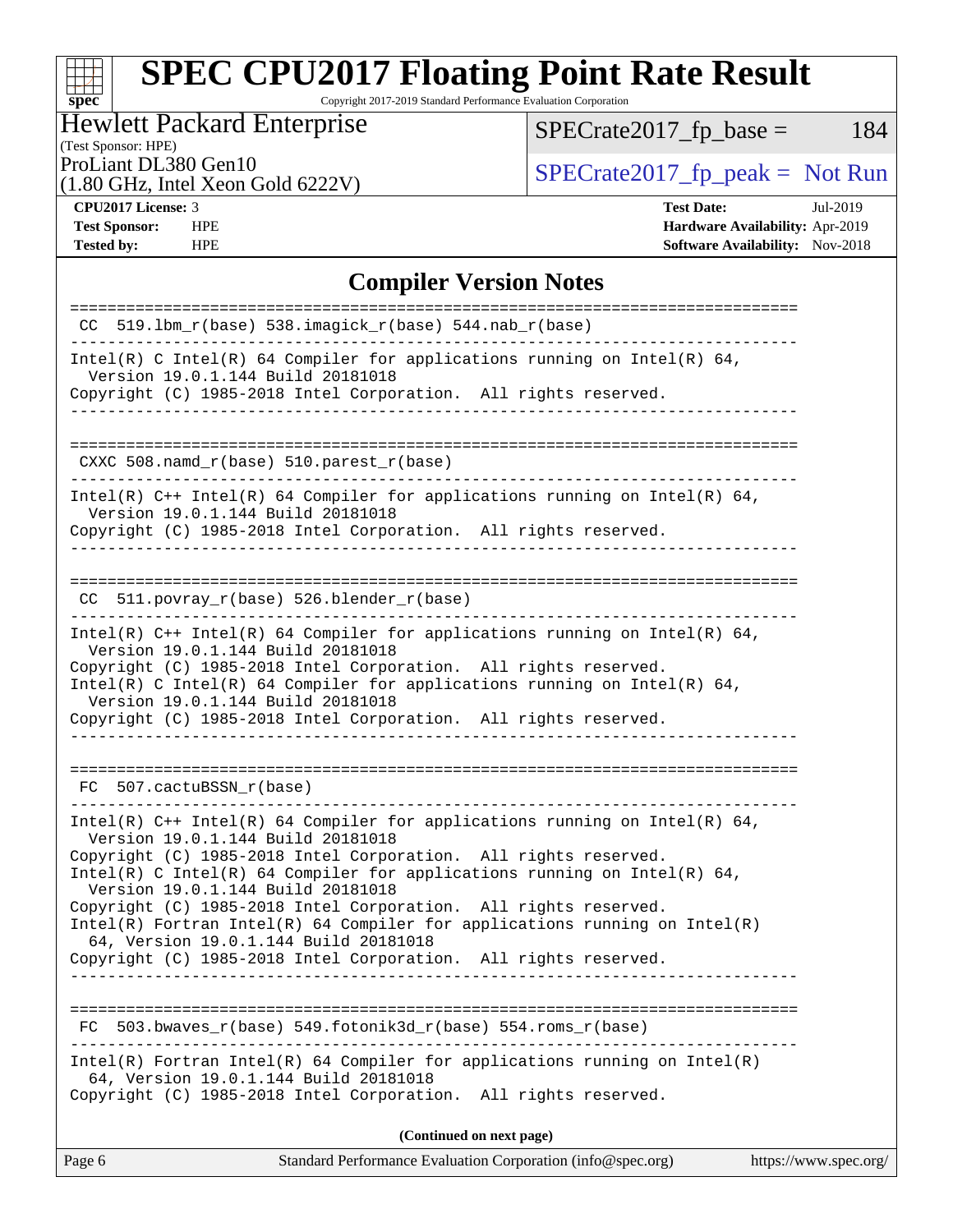Copyright 2017-2019 Standard Performance Evaluation Corporation

### Hewlett Packard Enterprise

 $SPECrate2017_fp\_base = 184$ 

## (Test Sponsor: HPE)

(1.80 GHz, Intel Xeon Gold 6222V)

ProLiant DL380 Gen10<br>(1.80 GHz, Intel Xeon Gold 6222V) [SPECrate2017\\_fp\\_peak =](http://www.spec.org/auto/cpu2017/Docs/result-fields.html#SPECrate2017fppeak) Not Run

**[spec](http://www.spec.org/)**

**[CPU2017 License:](http://www.spec.org/auto/cpu2017/Docs/result-fields.html#CPU2017License)** 3 **[Test Date:](http://www.spec.org/auto/cpu2017/Docs/result-fields.html#TestDate)** Jul-2019 **[Test Sponsor:](http://www.spec.org/auto/cpu2017/Docs/result-fields.html#TestSponsor)** HPE **[Hardware Availability:](http://www.spec.org/auto/cpu2017/Docs/result-fields.html#HardwareAvailability)** Apr-2019 **[Tested by:](http://www.spec.org/auto/cpu2017/Docs/result-fields.html#Testedby)** HPE **HPE [Software Availability:](http://www.spec.org/auto/cpu2017/Docs/result-fields.html#SoftwareAvailability)** Nov-2018

#### **[Compiler Version Notes](http://www.spec.org/auto/cpu2017/Docs/result-fields.html#CompilerVersionNotes)**

| $CC$ 519.1bm_ $r(base)$ 538.imagick_ $r(base)$ 544.nab_ $r(base)$<br>_______________________                                                                                                                                                                                                                                                                                                                                                                                                                                                                         |  |  |  |
|----------------------------------------------------------------------------------------------------------------------------------------------------------------------------------------------------------------------------------------------------------------------------------------------------------------------------------------------------------------------------------------------------------------------------------------------------------------------------------------------------------------------------------------------------------------------|--|--|--|
| Intel(R) C Intel(R) 64 Compiler for applications running on Intel(R) 64,<br>Version 19.0.1.144 Build 20181018<br>Copyright (C) 1985-2018 Intel Corporation. All rights reserved.                                                                                                                                                                                                                                                                                                                                                                                     |  |  |  |
| ---------------------------------                                                                                                                                                                                                                                                                                                                                                                                                                                                                                                                                    |  |  |  |
| CXXC 508.namd_r(base) 510.parest_r(base)                                                                                                                                                                                                                                                                                                                                                                                                                                                                                                                             |  |  |  |
| Intel(R) $C++$ Intel(R) 64 Compiler for applications running on Intel(R) 64,<br>Version 19.0.1.144 Build 20181018<br>Copyright (C) 1985-2018 Intel Corporation. All rights reserved.                                                                                                                                                                                                                                                                                                                                                                                 |  |  |  |
| CC 511.povray_r(base) 526.blender_r(base)                                                                                                                                                                                                                                                                                                                                                                                                                                                                                                                            |  |  |  |
| Intel(R) $C++$ Intel(R) 64 Compiler for applications running on Intel(R) 64,<br>Version 19.0.1.144 Build 20181018<br>Copyright (C) 1985-2018 Intel Corporation. All rights reserved.<br>Intel(R) C Intel(R) 64 Compiler for applications running on Intel(R) 64,<br>Version 19.0.1.144 Build 20181018<br>Copyright (C) 1985-2018 Intel Corporation. All rights reserved.                                                                                                                                                                                             |  |  |  |
| FC 507.cactuBSSN r(base)                                                                                                                                                                                                                                                                                                                                                                                                                                                                                                                                             |  |  |  |
| Intel(R) $C++$ Intel(R) 64 Compiler for applications running on Intel(R) 64,<br>Version 19.0.1.144 Build 20181018<br>Copyright (C) 1985-2018 Intel Corporation. All rights reserved.<br>Intel(R) C Intel(R) 64 Compiler for applications running on Intel(R) 64,<br>Version 19.0.1.144 Build 20181018<br>Copyright (C) 1985-2018 Intel Corporation. All rights reserved.<br>$Intel(R)$ Fortran Intel(R) 64 Compiler for applications running on Intel(R)<br>64, Version 19.0.1.144 Build 20181018<br>Copyright (C) 1985-2018 Intel Corporation. All rights reserved. |  |  |  |
| $503.bwaves_r(base) 549.fotonik3d_r(base) 554.roms_r(base)$<br>FC                                                                                                                                                                                                                                                                                                                                                                                                                                                                                                    |  |  |  |
| $Intel(R)$ Fortran Intel(R) 64 Compiler for applications running on Intel(R)<br>64, Version 19.0.1.144 Build 20181018<br>Copyright (C) 1985-2018 Intel Corporation. All rights reserved.                                                                                                                                                                                                                                                                                                                                                                             |  |  |  |
| (Continued on next page)                                                                                                                                                                                                                                                                                                                                                                                                                                                                                                                                             |  |  |  |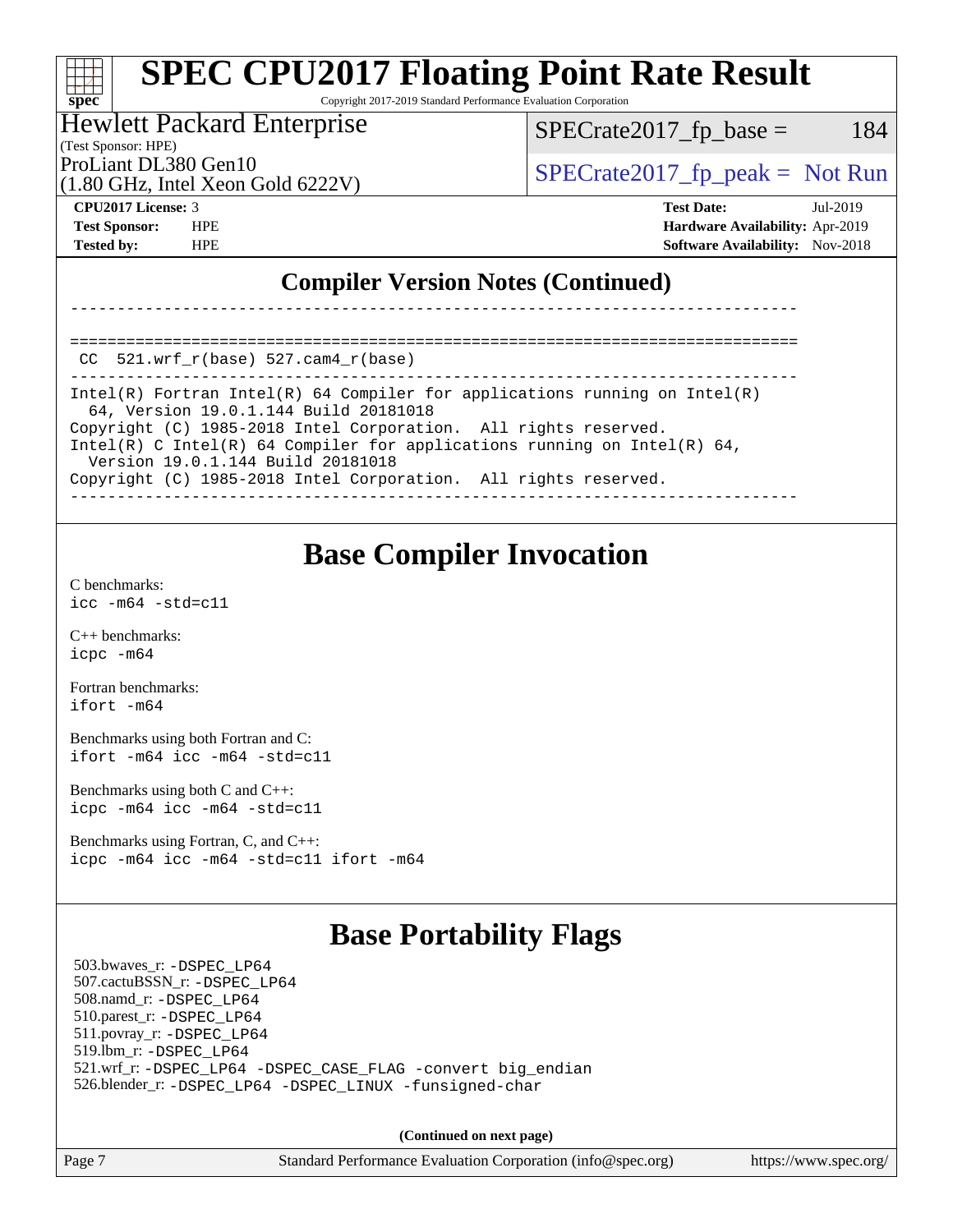Copyright 2017-2019 Standard Performance Evaluation Corporation

#### Hewlett Packard Enterprise

(Test Sponsor: HPE)

 $SPECTate2017<sub>fr</sub> base = 184$ 

(1.80 GHz, Intel Xeon Gold 6222V)

ProLiant DL380 Gen10  $SPECTA 522231$   $SPECTA 620231$   $SPECTA 620231$ 

**[spec](http://www.spec.org/)**

**[CPU2017 License:](http://www.spec.org/auto/cpu2017/Docs/result-fields.html#CPU2017License)** 3 **[Test Date:](http://www.spec.org/auto/cpu2017/Docs/result-fields.html#TestDate)** Jul-2019 **[Test Sponsor:](http://www.spec.org/auto/cpu2017/Docs/result-fields.html#TestSponsor)** HPE **[Hardware Availability:](http://www.spec.org/auto/cpu2017/Docs/result-fields.html#HardwareAvailability)** Apr-2019 **[Tested by:](http://www.spec.org/auto/cpu2017/Docs/result-fields.html#Testedby)** HPE **[Software Availability:](http://www.spec.org/auto/cpu2017/Docs/result-fields.html#SoftwareAvailability)** Nov-2018

### **[Compiler Version Notes \(Continued\)](http://www.spec.org/auto/cpu2017/Docs/result-fields.html#CompilerVersionNotes)**

==============================================================================  $CC$  521.wrf $r(base)$  527.cam $4$  $r(base)$ 

------------------------------------------------------------------------------ Intel(R) Fortran Intel(R) 64 Compiler for applications running on Intel(R) 64, Version 19.0.1.144 Build 20181018 Copyright (C) 1985-2018 Intel Corporation. All rights reserved. Intel(R) C Intel(R) 64 Compiler for applications running on Intel(R) 64, Version 19.0.1.144 Build 20181018 Copyright (C) 1985-2018 Intel Corporation. All rights reserved. ------------------------------------------------------------------------------

------------------------------------------------------------------------------

### **[Base Compiler Invocation](http://www.spec.org/auto/cpu2017/Docs/result-fields.html#BaseCompilerInvocation)**

[C benchmarks](http://www.spec.org/auto/cpu2017/Docs/result-fields.html#Cbenchmarks): [icc -m64 -std=c11](http://www.spec.org/cpu2017/results/res2019q3/cpu2017-20190805-16566.flags.html#user_CCbase_intel_icc_64bit_c11_33ee0cdaae7deeeab2a9725423ba97205ce30f63b9926c2519791662299b76a0318f32ddfffdc46587804de3178b4f9328c46fa7c2b0cd779d7a61945c91cd35)

[C++ benchmarks:](http://www.spec.org/auto/cpu2017/Docs/result-fields.html#CXXbenchmarks) [icpc -m64](http://www.spec.org/cpu2017/results/res2019q3/cpu2017-20190805-16566.flags.html#user_CXXbase_intel_icpc_64bit_4ecb2543ae3f1412ef961e0650ca070fec7b7afdcd6ed48761b84423119d1bf6bdf5cad15b44d48e7256388bc77273b966e5eb805aefd121eb22e9299b2ec9d9)

[Fortran benchmarks](http://www.spec.org/auto/cpu2017/Docs/result-fields.html#Fortranbenchmarks): [ifort -m64](http://www.spec.org/cpu2017/results/res2019q3/cpu2017-20190805-16566.flags.html#user_FCbase_intel_ifort_64bit_24f2bb282fbaeffd6157abe4f878425411749daecae9a33200eee2bee2fe76f3b89351d69a8130dd5949958ce389cf37ff59a95e7a40d588e8d3a57e0c3fd751)

[Benchmarks using both Fortran and C](http://www.spec.org/auto/cpu2017/Docs/result-fields.html#BenchmarksusingbothFortranandC): [ifort -m64](http://www.spec.org/cpu2017/results/res2019q3/cpu2017-20190805-16566.flags.html#user_CC_FCbase_intel_ifort_64bit_24f2bb282fbaeffd6157abe4f878425411749daecae9a33200eee2bee2fe76f3b89351d69a8130dd5949958ce389cf37ff59a95e7a40d588e8d3a57e0c3fd751) [icc -m64 -std=c11](http://www.spec.org/cpu2017/results/res2019q3/cpu2017-20190805-16566.flags.html#user_CC_FCbase_intel_icc_64bit_c11_33ee0cdaae7deeeab2a9725423ba97205ce30f63b9926c2519791662299b76a0318f32ddfffdc46587804de3178b4f9328c46fa7c2b0cd779d7a61945c91cd35)

[Benchmarks using both C and C++](http://www.spec.org/auto/cpu2017/Docs/result-fields.html#BenchmarksusingbothCandCXX): [icpc -m64](http://www.spec.org/cpu2017/results/res2019q3/cpu2017-20190805-16566.flags.html#user_CC_CXXbase_intel_icpc_64bit_4ecb2543ae3f1412ef961e0650ca070fec7b7afdcd6ed48761b84423119d1bf6bdf5cad15b44d48e7256388bc77273b966e5eb805aefd121eb22e9299b2ec9d9) [icc -m64 -std=c11](http://www.spec.org/cpu2017/results/res2019q3/cpu2017-20190805-16566.flags.html#user_CC_CXXbase_intel_icc_64bit_c11_33ee0cdaae7deeeab2a9725423ba97205ce30f63b9926c2519791662299b76a0318f32ddfffdc46587804de3178b4f9328c46fa7c2b0cd779d7a61945c91cd35)

[Benchmarks using Fortran, C, and C++:](http://www.spec.org/auto/cpu2017/Docs/result-fields.html#BenchmarksusingFortranCandCXX) [icpc -m64](http://www.spec.org/cpu2017/results/res2019q3/cpu2017-20190805-16566.flags.html#user_CC_CXX_FCbase_intel_icpc_64bit_4ecb2543ae3f1412ef961e0650ca070fec7b7afdcd6ed48761b84423119d1bf6bdf5cad15b44d48e7256388bc77273b966e5eb805aefd121eb22e9299b2ec9d9) [icc -m64 -std=c11](http://www.spec.org/cpu2017/results/res2019q3/cpu2017-20190805-16566.flags.html#user_CC_CXX_FCbase_intel_icc_64bit_c11_33ee0cdaae7deeeab2a9725423ba97205ce30f63b9926c2519791662299b76a0318f32ddfffdc46587804de3178b4f9328c46fa7c2b0cd779d7a61945c91cd35) [ifort -m64](http://www.spec.org/cpu2017/results/res2019q3/cpu2017-20190805-16566.flags.html#user_CC_CXX_FCbase_intel_ifort_64bit_24f2bb282fbaeffd6157abe4f878425411749daecae9a33200eee2bee2fe76f3b89351d69a8130dd5949958ce389cf37ff59a95e7a40d588e8d3a57e0c3fd751)

## **[Base Portability Flags](http://www.spec.org/auto/cpu2017/Docs/result-fields.html#BasePortabilityFlags)**

 503.bwaves\_r: [-DSPEC\\_LP64](http://www.spec.org/cpu2017/results/res2019q3/cpu2017-20190805-16566.flags.html#suite_basePORTABILITY503_bwaves_r_DSPEC_LP64) 507.cactuBSSN\_r: [-DSPEC\\_LP64](http://www.spec.org/cpu2017/results/res2019q3/cpu2017-20190805-16566.flags.html#suite_basePORTABILITY507_cactuBSSN_r_DSPEC_LP64) 508.namd\_r: [-DSPEC\\_LP64](http://www.spec.org/cpu2017/results/res2019q3/cpu2017-20190805-16566.flags.html#suite_basePORTABILITY508_namd_r_DSPEC_LP64) 510.parest\_r: [-DSPEC\\_LP64](http://www.spec.org/cpu2017/results/res2019q3/cpu2017-20190805-16566.flags.html#suite_basePORTABILITY510_parest_r_DSPEC_LP64) 511.povray\_r: [-DSPEC\\_LP64](http://www.spec.org/cpu2017/results/res2019q3/cpu2017-20190805-16566.flags.html#suite_basePORTABILITY511_povray_r_DSPEC_LP64) 519.lbm\_r: [-DSPEC\\_LP64](http://www.spec.org/cpu2017/results/res2019q3/cpu2017-20190805-16566.flags.html#suite_basePORTABILITY519_lbm_r_DSPEC_LP64) 521.wrf\_r: [-DSPEC\\_LP64](http://www.spec.org/cpu2017/results/res2019q3/cpu2017-20190805-16566.flags.html#suite_basePORTABILITY521_wrf_r_DSPEC_LP64) [-DSPEC\\_CASE\\_FLAG](http://www.spec.org/cpu2017/results/res2019q3/cpu2017-20190805-16566.flags.html#b521.wrf_r_baseCPORTABILITY_DSPEC_CASE_FLAG) [-convert big\\_endian](http://www.spec.org/cpu2017/results/res2019q3/cpu2017-20190805-16566.flags.html#user_baseFPORTABILITY521_wrf_r_convert_big_endian_c3194028bc08c63ac5d04de18c48ce6d347e4e562e8892b8bdbdc0214820426deb8554edfa529a3fb25a586e65a3d812c835984020483e7e73212c4d31a38223) 526.blender\_r: [-DSPEC\\_LP64](http://www.spec.org/cpu2017/results/res2019q3/cpu2017-20190805-16566.flags.html#suite_basePORTABILITY526_blender_r_DSPEC_LP64) [-DSPEC\\_LINUX](http://www.spec.org/cpu2017/results/res2019q3/cpu2017-20190805-16566.flags.html#b526.blender_r_baseCPORTABILITY_DSPEC_LINUX) [-funsigned-char](http://www.spec.org/cpu2017/results/res2019q3/cpu2017-20190805-16566.flags.html#user_baseCPORTABILITY526_blender_r_force_uchar_40c60f00ab013830e2dd6774aeded3ff59883ba5a1fc5fc14077f794d777847726e2a5858cbc7672e36e1b067e7e5c1d9a74f7176df07886a243d7cc18edfe67)

**(Continued on next page)**

Page 7 Standard Performance Evaluation Corporation [\(info@spec.org\)](mailto:info@spec.org) <https://www.spec.org/>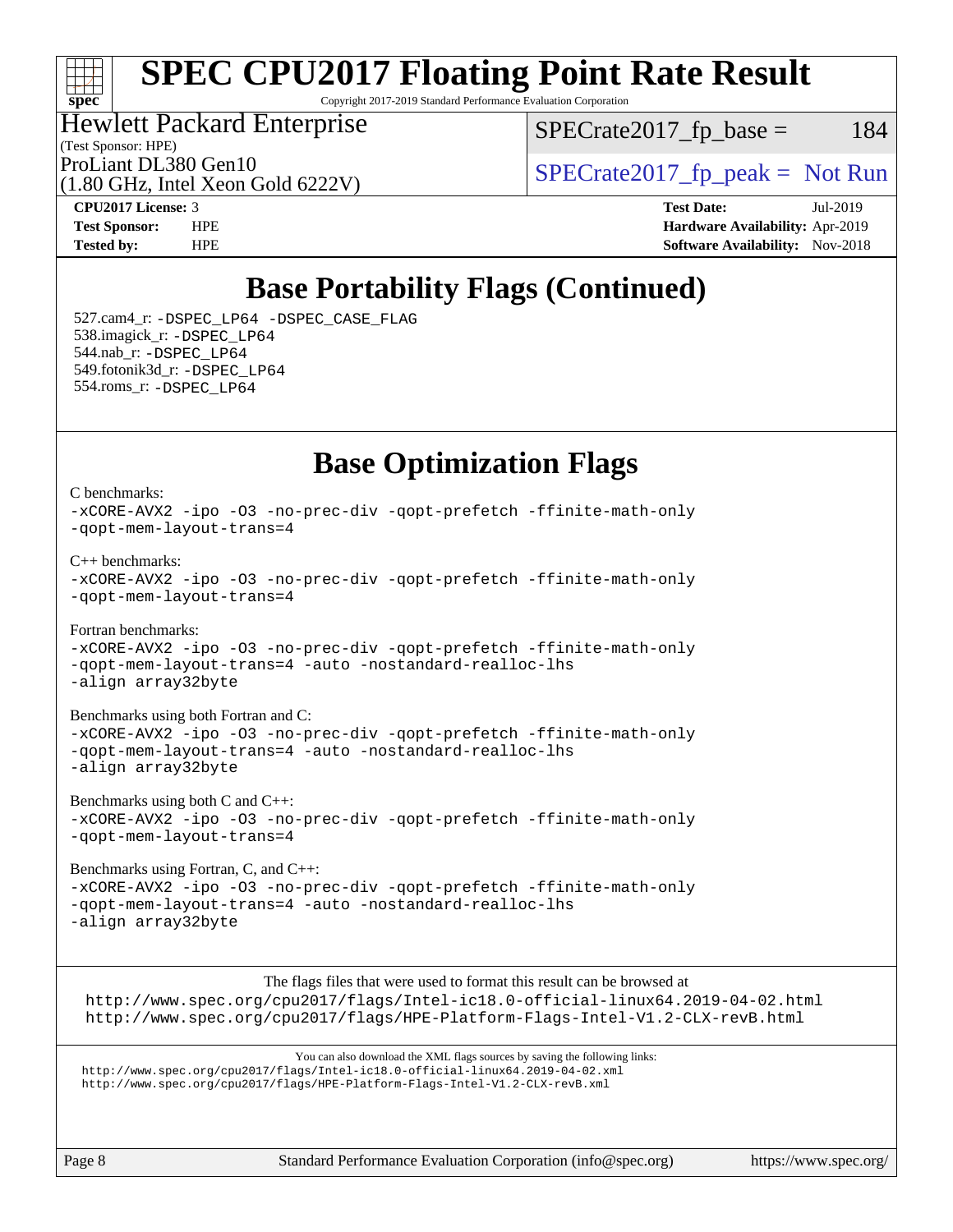### ti h **[spec](http://www.spec.org/)**

# **[SPEC CPU2017 Floating Point Rate Result](http://www.spec.org/auto/cpu2017/Docs/result-fields.html#SPECCPU2017FloatingPointRateResult)**

Copyright 2017-2019 Standard Performance Evaluation Corporation

## Hewlett Packard Enterprise

 $SPECTate2017<sub>fr</sub> base = 184$ 

(Test Sponsor: HPE)

(1.80 GHz, Intel Xeon Gold 6222V)

ProLiant DL380 Gen10  $SPECTR_{1.90}$  [SPECrate2017\\_fp\\_peak =](http://www.spec.org/auto/cpu2017/Docs/result-fields.html#SPECrate2017fppeak) Not Run

**[CPU2017 License:](http://www.spec.org/auto/cpu2017/Docs/result-fields.html#CPU2017License)** 3 **[Test Date:](http://www.spec.org/auto/cpu2017/Docs/result-fields.html#TestDate)** Jul-2019 **[Test Sponsor:](http://www.spec.org/auto/cpu2017/Docs/result-fields.html#TestSponsor)** HPE **[Hardware Availability:](http://www.spec.org/auto/cpu2017/Docs/result-fields.html#HardwareAvailability)** Apr-2019 **[Tested by:](http://www.spec.org/auto/cpu2017/Docs/result-fields.html#Testedby)** HPE **[Software Availability:](http://www.spec.org/auto/cpu2017/Docs/result-fields.html#SoftwareAvailability)** Nov-2018

## **[Base Portability Flags \(Continued\)](http://www.spec.org/auto/cpu2017/Docs/result-fields.html#BasePortabilityFlags)**

 527.cam4\_r: [-DSPEC\\_LP64](http://www.spec.org/cpu2017/results/res2019q3/cpu2017-20190805-16566.flags.html#suite_basePORTABILITY527_cam4_r_DSPEC_LP64) [-DSPEC\\_CASE\\_FLAG](http://www.spec.org/cpu2017/results/res2019q3/cpu2017-20190805-16566.flags.html#b527.cam4_r_baseCPORTABILITY_DSPEC_CASE_FLAG) 538.imagick\_r: [-DSPEC\\_LP64](http://www.spec.org/cpu2017/results/res2019q3/cpu2017-20190805-16566.flags.html#suite_basePORTABILITY538_imagick_r_DSPEC_LP64) 544.nab\_r: [-DSPEC\\_LP64](http://www.spec.org/cpu2017/results/res2019q3/cpu2017-20190805-16566.flags.html#suite_basePORTABILITY544_nab_r_DSPEC_LP64) 549.fotonik3d\_r: [-DSPEC\\_LP64](http://www.spec.org/cpu2017/results/res2019q3/cpu2017-20190805-16566.flags.html#suite_basePORTABILITY549_fotonik3d_r_DSPEC_LP64) 554.roms\_r: [-DSPEC\\_LP64](http://www.spec.org/cpu2017/results/res2019q3/cpu2017-20190805-16566.flags.html#suite_basePORTABILITY554_roms_r_DSPEC_LP64)

### **[Base Optimization Flags](http://www.spec.org/auto/cpu2017/Docs/result-fields.html#BaseOptimizationFlags)**

[C benchmarks](http://www.spec.org/auto/cpu2017/Docs/result-fields.html#Cbenchmarks): [-xCORE-AVX2](http://www.spec.org/cpu2017/results/res2019q3/cpu2017-20190805-16566.flags.html#user_CCbase_f-xCORE-AVX2) [-ipo](http://www.spec.org/cpu2017/results/res2019q3/cpu2017-20190805-16566.flags.html#user_CCbase_f-ipo) [-O3](http://www.spec.org/cpu2017/results/res2019q3/cpu2017-20190805-16566.flags.html#user_CCbase_f-O3) [-no-prec-div](http://www.spec.org/cpu2017/results/res2019q3/cpu2017-20190805-16566.flags.html#user_CCbase_f-no-prec-div) [-qopt-prefetch](http://www.spec.org/cpu2017/results/res2019q3/cpu2017-20190805-16566.flags.html#user_CCbase_f-qopt-prefetch) [-ffinite-math-only](http://www.spec.org/cpu2017/results/res2019q3/cpu2017-20190805-16566.flags.html#user_CCbase_f_finite_math_only_cb91587bd2077682c4b38af759c288ed7c732db004271a9512da14a4f8007909a5f1427ecbf1a0fb78ff2a814402c6114ac565ca162485bbcae155b5e4258871) [-qopt-mem-layout-trans=4](http://www.spec.org/cpu2017/results/res2019q3/cpu2017-20190805-16566.flags.html#user_CCbase_f-qopt-mem-layout-trans_fa39e755916c150a61361b7846f310bcdf6f04e385ef281cadf3647acec3f0ae266d1a1d22d972a7087a248fd4e6ca390a3634700869573d231a252c784941a8) [C++ benchmarks:](http://www.spec.org/auto/cpu2017/Docs/result-fields.html#CXXbenchmarks) [-xCORE-AVX2](http://www.spec.org/cpu2017/results/res2019q3/cpu2017-20190805-16566.flags.html#user_CXXbase_f-xCORE-AVX2) [-ipo](http://www.spec.org/cpu2017/results/res2019q3/cpu2017-20190805-16566.flags.html#user_CXXbase_f-ipo) [-O3](http://www.spec.org/cpu2017/results/res2019q3/cpu2017-20190805-16566.flags.html#user_CXXbase_f-O3) [-no-prec-div](http://www.spec.org/cpu2017/results/res2019q3/cpu2017-20190805-16566.flags.html#user_CXXbase_f-no-prec-div) [-qopt-prefetch](http://www.spec.org/cpu2017/results/res2019q3/cpu2017-20190805-16566.flags.html#user_CXXbase_f-qopt-prefetch) [-ffinite-math-only](http://www.spec.org/cpu2017/results/res2019q3/cpu2017-20190805-16566.flags.html#user_CXXbase_f_finite_math_only_cb91587bd2077682c4b38af759c288ed7c732db004271a9512da14a4f8007909a5f1427ecbf1a0fb78ff2a814402c6114ac565ca162485bbcae155b5e4258871) [-qopt-mem-layout-trans=4](http://www.spec.org/cpu2017/results/res2019q3/cpu2017-20190805-16566.flags.html#user_CXXbase_f-qopt-mem-layout-trans_fa39e755916c150a61361b7846f310bcdf6f04e385ef281cadf3647acec3f0ae266d1a1d22d972a7087a248fd4e6ca390a3634700869573d231a252c784941a8) [Fortran benchmarks](http://www.spec.org/auto/cpu2017/Docs/result-fields.html#Fortranbenchmarks): [-xCORE-AVX2](http://www.spec.org/cpu2017/results/res2019q3/cpu2017-20190805-16566.flags.html#user_FCbase_f-xCORE-AVX2) [-ipo](http://www.spec.org/cpu2017/results/res2019q3/cpu2017-20190805-16566.flags.html#user_FCbase_f-ipo) [-O3](http://www.spec.org/cpu2017/results/res2019q3/cpu2017-20190805-16566.flags.html#user_FCbase_f-O3) [-no-prec-div](http://www.spec.org/cpu2017/results/res2019q3/cpu2017-20190805-16566.flags.html#user_FCbase_f-no-prec-div) [-qopt-prefetch](http://www.spec.org/cpu2017/results/res2019q3/cpu2017-20190805-16566.flags.html#user_FCbase_f-qopt-prefetch) [-ffinite-math-only](http://www.spec.org/cpu2017/results/res2019q3/cpu2017-20190805-16566.flags.html#user_FCbase_f_finite_math_only_cb91587bd2077682c4b38af759c288ed7c732db004271a9512da14a4f8007909a5f1427ecbf1a0fb78ff2a814402c6114ac565ca162485bbcae155b5e4258871) [-qopt-mem-layout-trans=4](http://www.spec.org/cpu2017/results/res2019q3/cpu2017-20190805-16566.flags.html#user_FCbase_f-qopt-mem-layout-trans_fa39e755916c150a61361b7846f310bcdf6f04e385ef281cadf3647acec3f0ae266d1a1d22d972a7087a248fd4e6ca390a3634700869573d231a252c784941a8) [-auto](http://www.spec.org/cpu2017/results/res2019q3/cpu2017-20190805-16566.flags.html#user_FCbase_f-auto) [-nostandard-realloc-lhs](http://www.spec.org/cpu2017/results/res2019q3/cpu2017-20190805-16566.flags.html#user_FCbase_f_2003_std_realloc_82b4557e90729c0f113870c07e44d33d6f5a304b4f63d4c15d2d0f1fab99f5daaed73bdb9275d9ae411527f28b936061aa8b9c8f2d63842963b95c9dd6426b8a) [-align array32byte](http://www.spec.org/cpu2017/results/res2019q3/cpu2017-20190805-16566.flags.html#user_FCbase_align_array32byte_b982fe038af199962ba9a80c053b8342c548c85b40b8e86eb3cc33dee0d7986a4af373ac2d51c3f7cf710a18d62fdce2948f201cd044323541f22fc0fffc51b6) [Benchmarks using both Fortran and C](http://www.spec.org/auto/cpu2017/Docs/result-fields.html#BenchmarksusingbothFortranandC): [-xCORE-AVX2](http://www.spec.org/cpu2017/results/res2019q3/cpu2017-20190805-16566.flags.html#user_CC_FCbase_f-xCORE-AVX2) [-ipo](http://www.spec.org/cpu2017/results/res2019q3/cpu2017-20190805-16566.flags.html#user_CC_FCbase_f-ipo) [-O3](http://www.spec.org/cpu2017/results/res2019q3/cpu2017-20190805-16566.flags.html#user_CC_FCbase_f-O3) [-no-prec-div](http://www.spec.org/cpu2017/results/res2019q3/cpu2017-20190805-16566.flags.html#user_CC_FCbase_f-no-prec-div) [-qopt-prefetch](http://www.spec.org/cpu2017/results/res2019q3/cpu2017-20190805-16566.flags.html#user_CC_FCbase_f-qopt-prefetch) [-ffinite-math-only](http://www.spec.org/cpu2017/results/res2019q3/cpu2017-20190805-16566.flags.html#user_CC_FCbase_f_finite_math_only_cb91587bd2077682c4b38af759c288ed7c732db004271a9512da14a4f8007909a5f1427ecbf1a0fb78ff2a814402c6114ac565ca162485bbcae155b5e4258871) [-qopt-mem-layout-trans=4](http://www.spec.org/cpu2017/results/res2019q3/cpu2017-20190805-16566.flags.html#user_CC_FCbase_f-qopt-mem-layout-trans_fa39e755916c150a61361b7846f310bcdf6f04e385ef281cadf3647acec3f0ae266d1a1d22d972a7087a248fd4e6ca390a3634700869573d231a252c784941a8) [-auto](http://www.spec.org/cpu2017/results/res2019q3/cpu2017-20190805-16566.flags.html#user_CC_FCbase_f-auto) [-nostandard-realloc-lhs](http://www.spec.org/cpu2017/results/res2019q3/cpu2017-20190805-16566.flags.html#user_CC_FCbase_f_2003_std_realloc_82b4557e90729c0f113870c07e44d33d6f5a304b4f63d4c15d2d0f1fab99f5daaed73bdb9275d9ae411527f28b936061aa8b9c8f2d63842963b95c9dd6426b8a) [-align array32byte](http://www.spec.org/cpu2017/results/res2019q3/cpu2017-20190805-16566.flags.html#user_CC_FCbase_align_array32byte_b982fe038af199962ba9a80c053b8342c548c85b40b8e86eb3cc33dee0d7986a4af373ac2d51c3f7cf710a18d62fdce2948f201cd044323541f22fc0fffc51b6) [Benchmarks using both C and C++](http://www.spec.org/auto/cpu2017/Docs/result-fields.html#BenchmarksusingbothCandCXX):

[-xCORE-AVX2](http://www.spec.org/cpu2017/results/res2019q3/cpu2017-20190805-16566.flags.html#user_CC_CXXbase_f-xCORE-AVX2) [-ipo](http://www.spec.org/cpu2017/results/res2019q3/cpu2017-20190805-16566.flags.html#user_CC_CXXbase_f-ipo) [-O3](http://www.spec.org/cpu2017/results/res2019q3/cpu2017-20190805-16566.flags.html#user_CC_CXXbase_f-O3) [-no-prec-div](http://www.spec.org/cpu2017/results/res2019q3/cpu2017-20190805-16566.flags.html#user_CC_CXXbase_f-no-prec-div) [-qopt-prefetch](http://www.spec.org/cpu2017/results/res2019q3/cpu2017-20190805-16566.flags.html#user_CC_CXXbase_f-qopt-prefetch) [-ffinite-math-only](http://www.spec.org/cpu2017/results/res2019q3/cpu2017-20190805-16566.flags.html#user_CC_CXXbase_f_finite_math_only_cb91587bd2077682c4b38af759c288ed7c732db004271a9512da14a4f8007909a5f1427ecbf1a0fb78ff2a814402c6114ac565ca162485bbcae155b5e4258871) [-qopt-mem-layout-trans=4](http://www.spec.org/cpu2017/results/res2019q3/cpu2017-20190805-16566.flags.html#user_CC_CXXbase_f-qopt-mem-layout-trans_fa39e755916c150a61361b7846f310bcdf6f04e385ef281cadf3647acec3f0ae266d1a1d22d972a7087a248fd4e6ca390a3634700869573d231a252c784941a8)

[Benchmarks using Fortran, C, and C++:](http://www.spec.org/auto/cpu2017/Docs/result-fields.html#BenchmarksusingFortranCandCXX) [-xCORE-AVX2](http://www.spec.org/cpu2017/results/res2019q3/cpu2017-20190805-16566.flags.html#user_CC_CXX_FCbase_f-xCORE-AVX2) [-ipo](http://www.spec.org/cpu2017/results/res2019q3/cpu2017-20190805-16566.flags.html#user_CC_CXX_FCbase_f-ipo) [-O3](http://www.spec.org/cpu2017/results/res2019q3/cpu2017-20190805-16566.flags.html#user_CC_CXX_FCbase_f-O3) [-no-prec-div](http://www.spec.org/cpu2017/results/res2019q3/cpu2017-20190805-16566.flags.html#user_CC_CXX_FCbase_f-no-prec-div) [-qopt-prefetch](http://www.spec.org/cpu2017/results/res2019q3/cpu2017-20190805-16566.flags.html#user_CC_CXX_FCbase_f-qopt-prefetch) [-ffinite-math-only](http://www.spec.org/cpu2017/results/res2019q3/cpu2017-20190805-16566.flags.html#user_CC_CXX_FCbase_f_finite_math_only_cb91587bd2077682c4b38af759c288ed7c732db004271a9512da14a4f8007909a5f1427ecbf1a0fb78ff2a814402c6114ac565ca162485bbcae155b5e4258871) [-qopt-mem-layout-trans=4](http://www.spec.org/cpu2017/results/res2019q3/cpu2017-20190805-16566.flags.html#user_CC_CXX_FCbase_f-qopt-mem-layout-trans_fa39e755916c150a61361b7846f310bcdf6f04e385ef281cadf3647acec3f0ae266d1a1d22d972a7087a248fd4e6ca390a3634700869573d231a252c784941a8) [-auto](http://www.spec.org/cpu2017/results/res2019q3/cpu2017-20190805-16566.flags.html#user_CC_CXX_FCbase_f-auto) [-nostandard-realloc-lhs](http://www.spec.org/cpu2017/results/res2019q3/cpu2017-20190805-16566.flags.html#user_CC_CXX_FCbase_f_2003_std_realloc_82b4557e90729c0f113870c07e44d33d6f5a304b4f63d4c15d2d0f1fab99f5daaed73bdb9275d9ae411527f28b936061aa8b9c8f2d63842963b95c9dd6426b8a) [-align array32byte](http://www.spec.org/cpu2017/results/res2019q3/cpu2017-20190805-16566.flags.html#user_CC_CXX_FCbase_align_array32byte_b982fe038af199962ba9a80c053b8342c548c85b40b8e86eb3cc33dee0d7986a4af373ac2d51c3f7cf710a18d62fdce2948f201cd044323541f22fc0fffc51b6)

The flags files that were used to format this result can be browsed at <http://www.spec.org/cpu2017/flags/Intel-ic18.0-official-linux64.2019-04-02.html> <http://www.spec.org/cpu2017/flags/HPE-Platform-Flags-Intel-V1.2-CLX-revB.html>

You can also download the XML flags sources by saving the following links: <http://www.spec.org/cpu2017/flags/Intel-ic18.0-official-linux64.2019-04-02.xml> <http://www.spec.org/cpu2017/flags/HPE-Platform-Flags-Intel-V1.2-CLX-revB.xml>